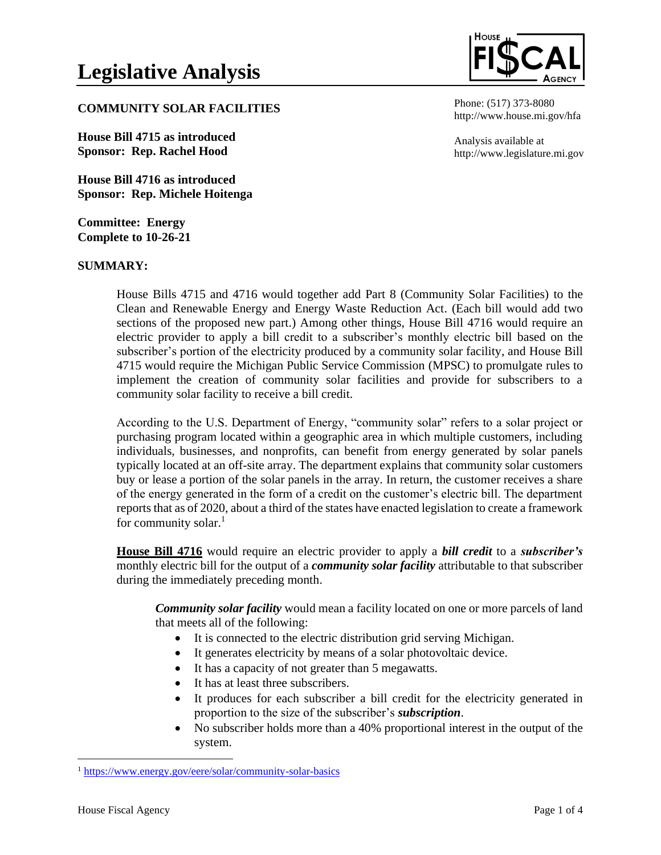## **COMMUNITY SOLAR FACILITIES**

**House Bill 4715 as introduced Sponsor: Rep. Rachel Hood**

**House Bill 4716 as introduced Sponsor: Rep. Michele Hoitenga**

**Committee: Energy Complete to 10-26-21**

## **SUMMARY:**



Phone: (517) 373-8080 http://www.house.mi.gov/hfa

Analysis available at http://www.legislature.mi.gov

House Bills 4715 and 4716 would together add Part 8 (Community Solar Facilities) to the Clean and Renewable Energy and Energy Waste Reduction Act. (Each bill would add two sections of the proposed new part.) Among other things, House Bill 4716 would require an electric provider to apply a bill credit to a subscriber's monthly electric bill based on the subscriber's portion of the electricity produced by a community solar facility, and House Bill 4715 would require the Michigan Public Service Commission (MPSC) to promulgate rules to implement the creation of community solar facilities and provide for subscribers to a community solar facility to receive a bill credit.

According to the U.S. Department of Energy, "community solar" refers to a solar project or purchasing program located within a geographic area in which multiple customers, including individuals, businesses, and nonprofits, can benefit from energy generated by solar panels typically located at an off-site array. The department explains that community solar customers buy or lease a portion of the solar panels in the array. In return, the customer receives a share of the energy generated in the form of a credit on the customer's electric bill. The department reports that as of 2020, about a third of the states have enacted legislation to create a framework for community solar. $<sup>1</sup>$ </sup>

**House Bill 4716** would require an electric provider to apply a *bill credit* to a *subscriber's* monthly electric bill for the output of a *community solar facility* attributable to that subscriber during the immediately preceding month.

*Community solar facility* would mean a facility located on one or more parcels of land that meets all of the following:

- It is connected to the electric distribution grid serving Michigan.
- It generates electricity by means of a solar photovoltaic device.
- It has a capacity of not greater than 5 megawatts.
- It has at least three subscribers.
- It produces for each subscriber a bill credit for the electricity generated in proportion to the size of the subscriber's *subscription*.
- No subscriber holds more than a 40% proportional interest in the output of the system.

<sup>1</sup> <https://www.energy.gov/eere/solar/community-solar-basics>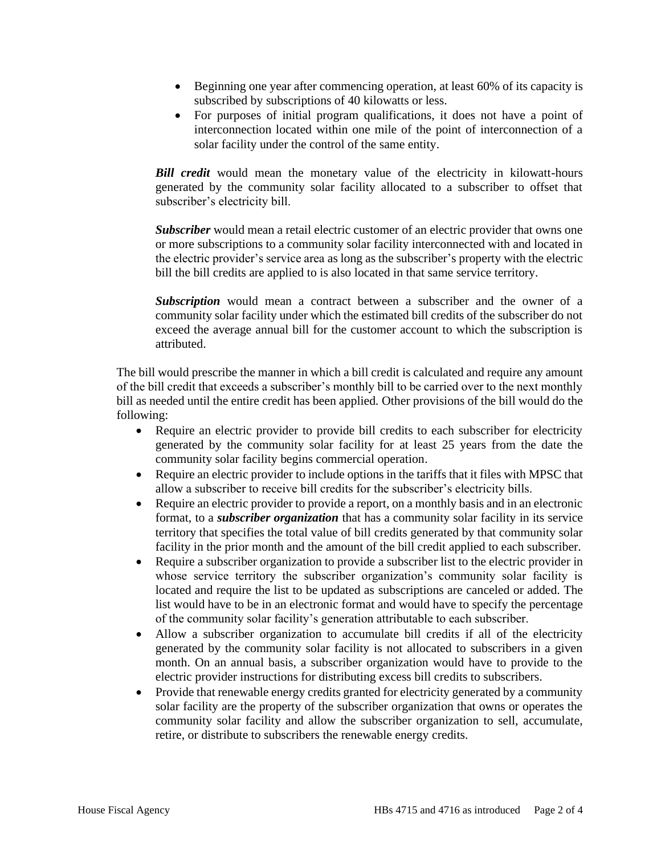- Beginning one year after commencing operation, at least 60% of its capacity is subscribed by subscriptions of 40 kilowatts or less.
- For purposes of initial program qualifications, it does not have a point of interconnection located within one mile of the point of interconnection of a solar facility under the control of the same entity.

*Bill credit* would mean the monetary value of the electricity in kilowatt-hours generated by the community solar facility allocated to a subscriber to offset that subscriber's electricity bill.

**Subscriber** would mean a retail electric customer of an electric provider that owns one or more subscriptions to a community solar facility interconnected with and located in the electric provider's service area as long as the subscriber's property with the electric bill the bill credits are applied to is also located in that same service territory.

*Subscription* would mean a contract between a subscriber and the owner of a community solar facility under which the estimated bill credits of the subscriber do not exceed the average annual bill for the customer account to which the subscription is attributed.

The bill would prescribe the manner in which a bill credit is calculated and require any amount of the bill credit that exceeds a subscriber's monthly bill to be carried over to the next monthly bill as needed until the entire credit has been applied. Other provisions of the bill would do the following:

- Require an electric provider to provide bill credits to each subscriber for electricity generated by the community solar facility for at least 25 years from the date the community solar facility begins commercial operation.
- Require an electric provider to include options in the tariffs that it files with MPSC that allow a subscriber to receive bill credits for the subscriber's electricity bills.
- Require an electric provider to provide a report, on a monthly basis and in an electronic format, to a *subscriber organization* that has a community solar facility in its service territory that specifies the total value of bill credits generated by that community solar facility in the prior month and the amount of the bill credit applied to each subscriber.
- Require a subscriber organization to provide a subscriber list to the electric provider in whose service territory the subscriber organization's community solar facility is located and require the list to be updated as subscriptions are canceled or added. The list would have to be in an electronic format and would have to specify the percentage of the community solar facility's generation attributable to each subscriber.
- Allow a subscriber organization to accumulate bill credits if all of the electricity generated by the community solar facility is not allocated to subscribers in a given month. On an annual basis, a subscriber organization would have to provide to the electric provider instructions for distributing excess bill credits to subscribers.
- Provide that renewable energy credits granted for electricity generated by a community solar facility are the property of the subscriber organization that owns or operates the community solar facility and allow the subscriber organization to sell, accumulate, retire, or distribute to subscribers the renewable energy credits.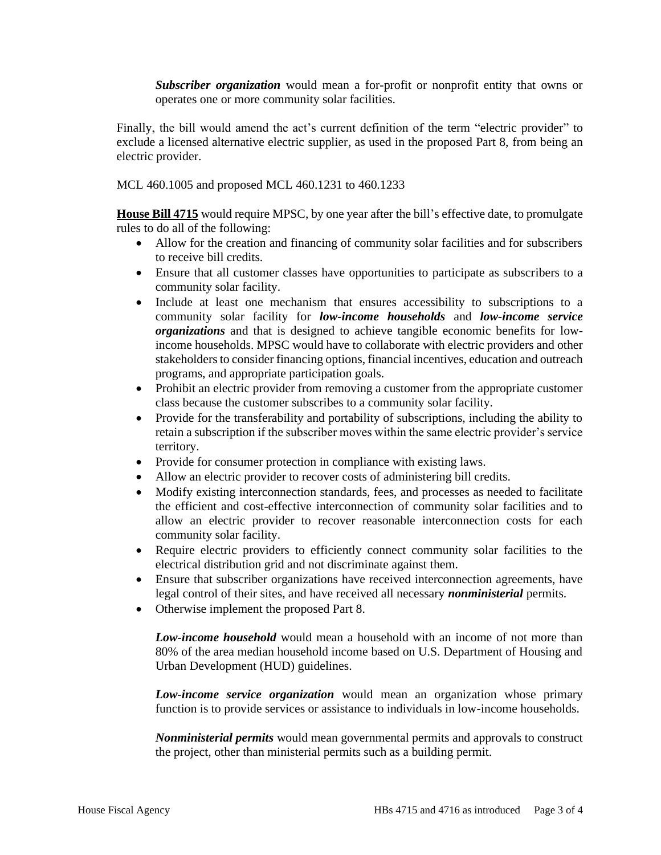*Subscriber organization* would mean a for-profit or nonprofit entity that owns or operates one or more community solar facilities.

Finally, the bill would amend the act's current definition of the term "electric provider" to exclude a licensed alternative electric supplier, as used in the proposed Part 8, from being an electric provider.

MCL 460.1005 and proposed MCL 460.1231 to 460.1233

**House Bill 4715** would require MPSC, by one year after the bill's effective date, to promulgate rules to do all of the following:

- Allow for the creation and financing of community solar facilities and for subscribers to receive bill credits.
- Ensure that all customer classes have opportunities to participate as subscribers to a community solar facility.
- Include at least one mechanism that ensures accessibility to subscriptions to a community solar facility for *low-income households* and *low-income service organizations* and that is designed to achieve tangible economic benefits for lowincome households. MPSC would have to collaborate with electric providers and other stakeholders to consider financing options, financial incentives, education and outreach programs, and appropriate participation goals.
- Prohibit an electric provider from removing a customer from the appropriate customer class because the customer subscribes to a community solar facility.
- Provide for the transferability and portability of subscriptions, including the ability to retain a subscription if the subscriber moves within the same electric provider's service territory.
- Provide for consumer protection in compliance with existing laws.
- Allow an electric provider to recover costs of administering bill credits.
- Modify existing interconnection standards, fees, and processes as needed to facilitate the efficient and cost-effective interconnection of community solar facilities and to allow an electric provider to recover reasonable interconnection costs for each community solar facility.
- Require electric providers to efficiently connect community solar facilities to the electrical distribution grid and not discriminate against them.
- Ensure that subscriber organizations have received interconnection agreements, have legal control of their sites, and have received all necessary *nonministerial* permits.
- Otherwise implement the proposed Part 8.

*Low-income household* would mean a household with an income of not more than 80% of the area median household income based on U.S. Department of Housing and Urban Development (HUD) guidelines.

*Low-income service organization* would mean an organization whose primary function is to provide services or assistance to individuals in low-income households.

*Nonministerial permits* would mean governmental permits and approvals to construct the project, other than ministerial permits such as a building permit.